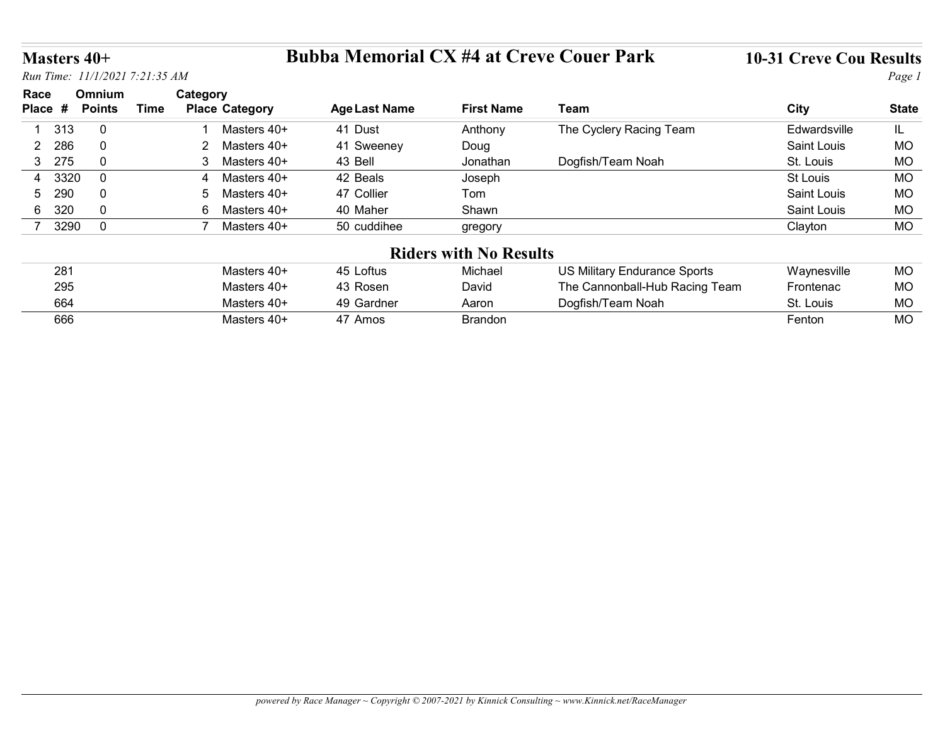# Masters 40+ Bubba Memorial CX #4 at Creve Couer Park 10-31 Creve Cou Results

| Masters 40+     |               |                                |                              | <b>Bubba Memorial CX #4 at Creve Couer Park</b> |                               |                                | <b>10-31 Creve Cou Results</b> |                 |
|-----------------|---------------|--------------------------------|------------------------------|-------------------------------------------------|-------------------------------|--------------------------------|--------------------------------|-----------------|
|                 |               | Run Time: 11/1/2021 7:21:35 AM |                              |                                                 |                               |                                |                                | Page 1          |
| Race            | Omnium        |                                | Category                     |                                                 |                               |                                |                                |                 |
| Place #         | <b>Points</b> | <b>Time</b>                    | <b>Place Category</b>        | <b>Age Last Name</b>                            | <b>First Name</b>             | <b>Team</b>                    | <b>City</b>                    | <b>State</b>    |
| 313             | $\mathbf 0$   |                                | Masters 40+                  | 41 Dust                                         | Anthony                       | The Cyclery Racing Team        | Edwardsville                   | IL.             |
|                 |               |                                |                              | 41 Sweeney                                      | Doug                          |                                | Saint Louis                    | MO              |
| $\overline{2}$  | $\mathbf 0$   |                                | 2                            |                                                 |                               |                                |                                |                 |
| 286<br>275<br>3 | $\mathbf 0$   |                                | Masters 40+<br>3 Masters 40+ | 43 Bell                                         | Jonathan                      | Dogfish/Team Noah              | St. Louis                      | <b>MO</b>       |
| 3320<br>4       | $\mathbf 0$   |                                | 4 Masters 40+                | 42 Beals                                        | Joseph                        |                                | St Louis                       | <b>MO</b>       |
| 290<br>5.       | $\mathbf 0$   |                                | Masters 40+<br>5             | 47 Collier                                      | Tom                           |                                | Saint Louis                    | MO              |
| 320<br>6        | $\mathbf 0$   |                                | 6<br>Masters 40+             | 40 Maher                                        | Shawn                         |                                | Saint Louis                    | MO              |
| 7 3290          | $\mathbf 0$   |                                | 7 Masters 40+                | 50 cuddihee                                     | gregory                       |                                | Clayton                        | MO              |
|                 |               |                                |                              |                                                 |                               |                                |                                |                 |
|                 |               |                                |                              |                                                 | <b>Riders with No Results</b> |                                |                                |                 |
| 281             |               |                                | Masters 40+<br>Masters 40+   | 45 Loftus                                       | Michael                       | US Military Endurance Sports   | Waynesville                    | MO              |
| 295             |               |                                |                              | 43 Rosen                                        | David                         | The Cannonball-Hub Racing Team | Frontenac                      | <b>MO</b>       |
| 664<br>666      |               |                                | Masters 40+<br>Masters 40+   | 49 Gardner<br>47 Amos                           | Aaron<br><b>Brandon</b>       | Dogfish/Team Noah              | St. Louis<br>Fenton            | MO<br><b>MO</b> |

| 281 | Masters 40+ | 45 Loftus               | Michael | US Military Endurance Sports   | Waynesville | МO |
|-----|-------------|-------------------------|---------|--------------------------------|-------------|----|
| 295 | Masters 40+ | 43 Rosen                | David   | The Cannonball-Hub Racing Team | Frontenac   | MO |
| 664 | Masters 40+ | 49 Gardner              | Aaron   | Dogfish/Team Noah              | St. Louis   | МO |
| 666 | Masters 40+ | 47<br>Amos <sup>.</sup> | Brandon |                                | Fenton      | MO |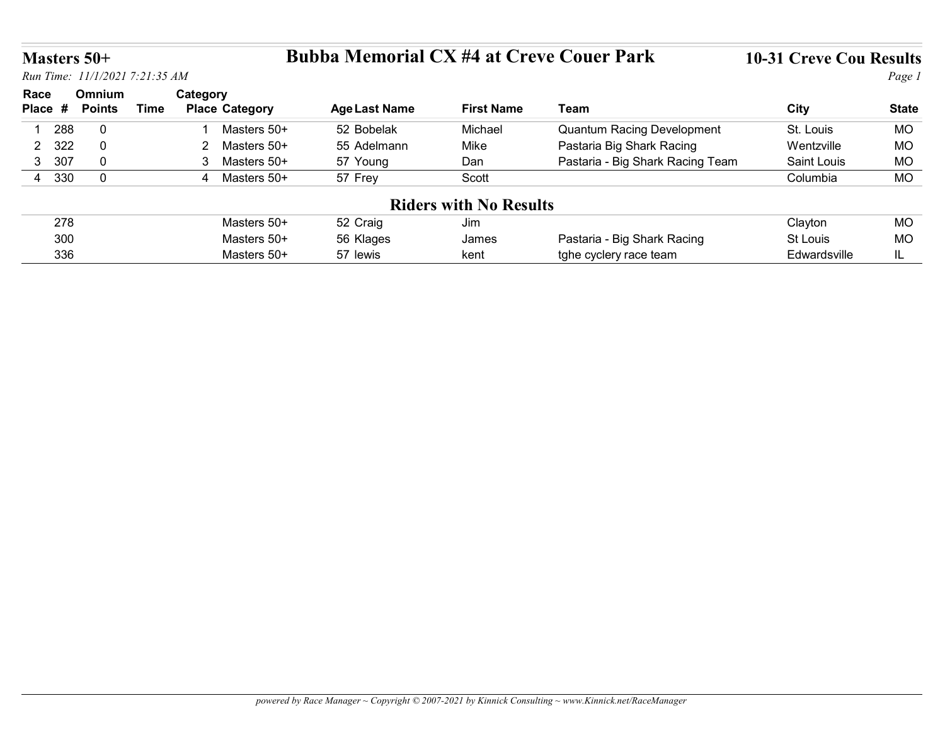# Masters 50+ Bubba Memorial CX #4 at Creve Couer Park 10-31 Creve Cou Results

|                | <b>Masters 50+</b>         |                                |                                    | <b>Bubba Memorial CX #4 at Creve Couer Park</b> |                               |                                   | <b>10-31 Creve Cou Results</b> |                        |
|----------------|----------------------------|--------------------------------|------------------------------------|-------------------------------------------------|-------------------------------|-----------------------------------|--------------------------------|------------------------|
|                |                            | Run Time: 11/1/2021 7:21:35 AM |                                    |                                                 |                               |                                   |                                | Page 1                 |
| Race           | Omnium                     |                                | Category                           |                                                 |                               |                                   |                                |                        |
| Place #        | <b>Points</b>              | <b>Time</b>                    | <b>Place Category</b>              | <b>Age Last Name</b>                            | <b>First Name</b>             | <b>Team</b>                       | <b>City</b>                    | <b>State</b>           |
| 288            | $\mathbf 0$                |                                | Masters 50+                        | 52 Bobelak                                      | Michael                       | <b>Quantum Racing Development</b> | St. Louis                      | <b>MO</b>              |
| 2 322          | $\mathbf 0$<br>$\mathbf 0$ |                                | $\overline{2}$<br>Masters 50+<br>3 | 55 Adelmann                                     | Mike                          | Pastaria Big Shark Racing         | Wentzville                     | <b>MO</b>              |
| 3 307<br>4 330 | $\mathbf 0$                |                                | Masters 50+<br>4 Masters 50+       | 57 Young<br>57 Frey                             | Dan<br>Scott                  | Pastaria - Big Shark Racing Team  | Saint Louis<br>Columbia        | <b>MO</b><br><b>MO</b> |
|                |                            |                                |                                    |                                                 |                               |                                   |                                |                        |
|                |                            |                                |                                    |                                                 | <b>Riders with No Results</b> |                                   |                                |                        |
| 278<br>300     |                            |                                | Masters 50+<br>Masters 50+         | 52 Craig<br>56 Klages                           | Jim<br>James                  | Pastaria - Big Shark Racing       | Clayton<br>St Louis            | <b>MO</b><br><b>MO</b> |

powered by Race Manager ~ Copyright © 2007-2021 by Kinnick Consulting ~ www.Kinnick.net/RaceManager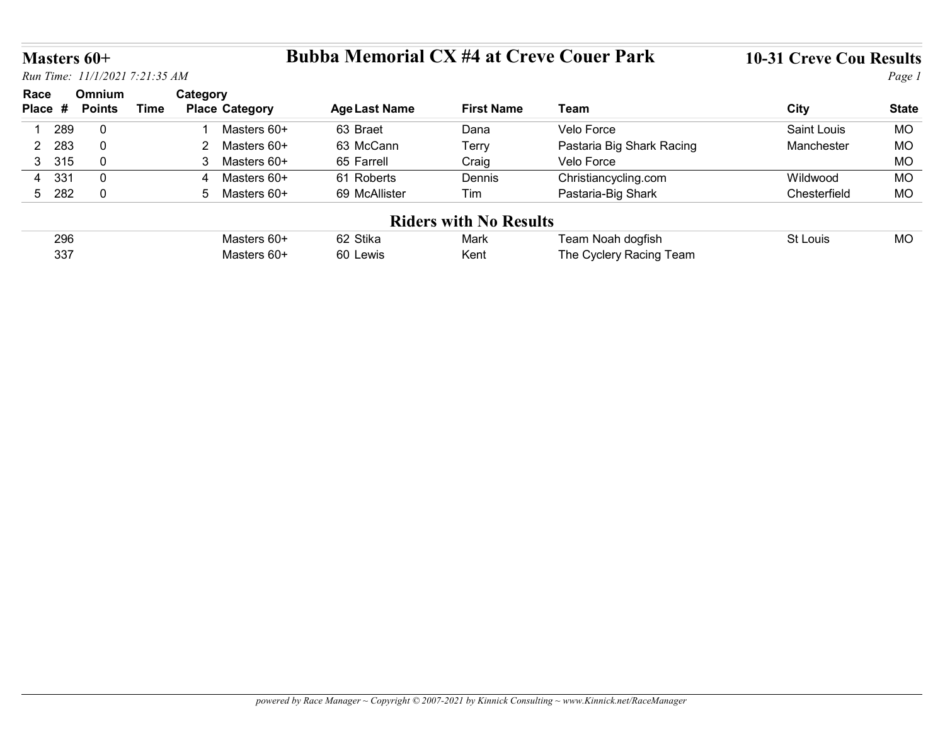# Masters 60+ Bubba Memorial CX #4 at Creve Couer Park 10-31 Creve Cou Results

|                       | <b>Masters 60+</b>      |                                |                             | <b>Bubba Memorial CX #4 at Creve Couer Park</b> |                               |                           |                                |              |
|-----------------------|-------------------------|--------------------------------|-----------------------------|-------------------------------------------------|-------------------------------|---------------------------|--------------------------------|--------------|
|                       |                         |                                |                             |                                                 |                               |                           | <b>10-31 Creve Cou Results</b> |              |
|                       |                         | Run Time: 11/1/2021 7:21:35 AM |                             |                                                 |                               |                           |                                | Page 1       |
| Race<br>Place #       | Omnium<br><b>Points</b> | Category<br><b>Time</b>        | <b>Place Category</b>       | <b>Age Last Name</b>                            | <b>First Name</b>             | Team                      | <b>City</b>                    | <b>State</b> |
| 289<br>$\overline{1}$ | $\mathbf 0$             |                                | Masters 60+                 | 63 Braet                                        | Dana                          | Velo Force                | Saint Louis                    | <b>MO</b>    |
| 283<br>$\overline{2}$ | $\mathbf 0$             |                                | $2^{\circ}$<br>Masters 60+  | 63 McCann                                       | Terry                         | Pastaria Big Shark Racing | Manchester                     | MO           |
| 3 315                 | $\overline{0}$          |                                | $\mathbf{3}$<br>Masters 60+ | 65 Farrell                                      | Craig                         | Velo Force                |                                | <b>MO</b>    |
| 331<br>$\overline{4}$ | $\mathbf 0$             | 4                              | Masters 60+                 | 61 Roberts                                      | Dennis                        | Christiancycling.com      | Wildwood                       | <b>MO</b>    |
| 5 282                 | $\overline{0}$          |                                | 5 Masters 60+               | 69 McAllister                                   | Tim                           | Pastaria-Big Shark        | Chesterfield                   | MO           |
|                       |                         |                                |                             |                                                 | <b>Riders with No Results</b> |                           |                                |              |
|                       | 296                     |                                | Masters 60+                 | 62 Stika                                        | Mark                          | Team Noah dogfish         | St Louis                       | <b>MO</b>    |

| .   |             |               | -----                         | .                    |              |
|-----|-------------|---------------|-------------------------------|----------------------|--------------|
| 331 | Masters 60+ | Roberts<br>61 | Dennis                        | Christiancycling.com | Wildwood     |
| 282 | Masters 60+ | 69 McAllister | Tim                           | Pastaria-Big Shark   | Chesterfield |
|     |             |               | <b>Riders with No Results</b> |                      |              |

| 296 |        | $\sim$<br>Stika<br>ےر    | Mark | , eam<br>doafish<br>Noar<br>I VUO          | _our: | <b>MO</b> |
|-----|--------|--------------------------|------|--------------------------------------------|-------|-----------|
| 337 | Master | ^^<br>$\bigcap$<br>.ewis | Kent | eam<br>n o<br>Racino<br>`\ <i>ır</i> ılar\ |       |           |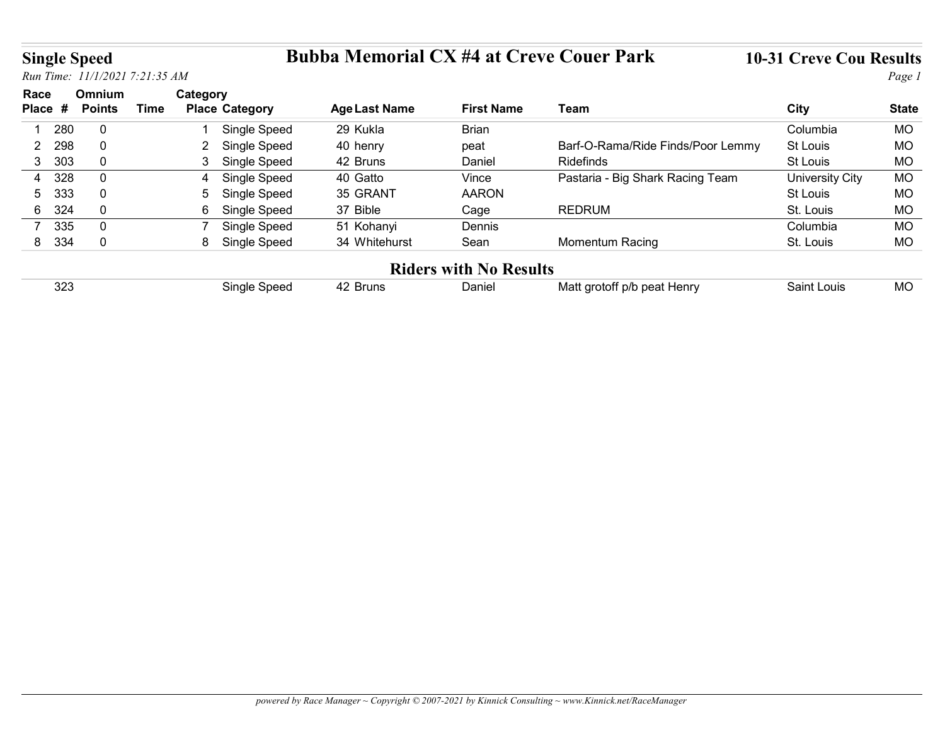## Single Speed Bubba Memorial CX #4 at Creve Couer Park 10-31 Creve Cou Results

| <b>Single Speed</b>   |     |               |                                |                       | <b>Bubba Memorial CX #4 at Creve Couer Park</b> |                               |                                   | <b>10-31 Creve Cou Results</b> |              |
|-----------------------|-----|---------------|--------------------------------|-----------------------|-------------------------------------------------|-------------------------------|-----------------------------------|--------------------------------|--------------|
|                       |     |               | Run Time: 11/1/2021 7:21:35 AM |                       |                                                 |                               |                                   |                                | Page 1       |
| Race                  |     | Omnium        | Category                       |                       |                                                 |                               |                                   |                                |              |
| Place #               |     | <b>Points</b> | <b>Time</b>                    | <b>Place Category</b> | <b>Age Last Name</b>                            | <b>First Name</b>             | Team                              | <b>City</b>                    | <b>State</b> |
|                       |     | $\mathbf 0$   |                                | Single Speed          | 29 Kukla                                        | Brian                         |                                   | Columbia                       | <b>MO</b>    |
| 1 280                 |     |               |                                |                       |                                                 |                               |                                   |                                |              |
| $\overline{2}$        | 298 | $\mathbf 0$   | $\mathbf{2}$                   | Single Speed          | 40 henry                                        | peat                          | Barf-O-Rama/Ride Finds/Poor Lemmy | St Louis                       | MO           |
| 3 303                 |     | $\mathbf 0$   | 3                              | Single Speed          | 42 Bruns                                        | Daniel                        | Ridefinds                         | St Louis                       | <b>MO</b>    |
| 4                     | 328 | $\mathbf 0$   | $\overline{4}$                 | Single Speed          | 40 Gatto                                        | Vince                         | Pastaria - Big Shark Racing Team  | <b>University City</b>         | <b>MO</b>    |
| 5                     | 333 | $\mathbf 0$   | 5                              | Single Speed          | 35 GRANT                                        | <b>AARON</b>                  |                                   | St Louis                       | <b>MO</b>    |
| 324<br>6 <sup>1</sup> |     | $\mathbf 0$   | 6                              | Single Speed          | 37 Bible                                        | Cage                          | <b>REDRUM</b>                     | St. Louis                      | <b>MO</b>    |
| 335<br>$\overline{7}$ |     | $\mathbf 0$   | $\overline{7}$                 | Single Speed          | 51 Kohanyi                                      | Dennis                        |                                   | Columbia                       | <b>MO</b>    |
| 8 334                 |     | $\mathbf 0$   |                                | 8 Single Speed        | 34 Whitehurst                                   | Sean                          | Momentum Racing                   | St. Louis                      | <b>MO</b>    |
|                       |     |               |                                |                       |                                                 | <b>Riders with No Results</b> |                                   |                                |              |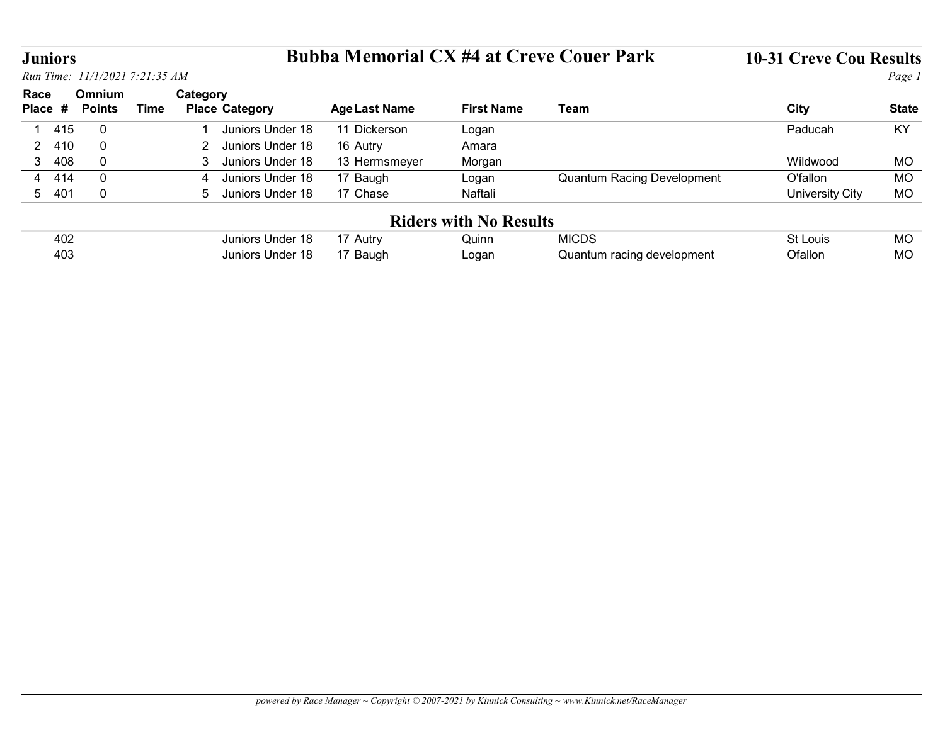# Juniors Bubba Memorial CX #4 at Creve Couer Park 10-31 Creve Cou Results

|                                |                                |             |                                           | <b>Bubba Memorial CX #4 at Creve Couer Park</b> |                               |                                   | <b>10-31 Creve Cou Results</b> |                        |
|--------------------------------|--------------------------------|-------------|-------------------------------------------|-------------------------------------------------|-------------------------------|-----------------------------------|--------------------------------|------------------------|
| <b>Juniors</b>                 | Run Time: 11/1/2021 7:21:35 AM |             |                                           |                                                 |                               |                                   |                                | Page 1                 |
| Race                           | Omnium                         |             | Category                                  |                                                 |                               |                                   |                                |                        |
|                                | Place # Points                 | <b>Time</b> | <b>Place Category</b>                     | <b>Age Last Name</b>                            | <b>First Name</b>             | <b>Team</b>                       | <b>City</b>                    | <b>State</b>           |
| 415<br>-1                      | $\overline{0}$                 |             | Juniors Under 18                          | 11 Dickerson                                    | Logan                         |                                   | Paducah                        | KY                     |
| 410<br>$\overline{2}$          | $\overline{0}$<br>$\mathbf 0$  |             | $\overline{2}$<br>Juniors Under 18<br>3   | 16 Autry                                        | Amara                         |                                   |                                |                        |
| 3 <sup>1</sup><br>408<br>4 414 | $\mathbf 0$                    |             | Juniors Under 18<br>Juniors Under 18<br>4 | 13 Hermsmeyer<br>17 Baugh                       | Morgan<br>Logan               | <b>Quantum Racing Development</b> | Wildwood<br>O'fallon           | <b>MO</b><br><b>MO</b> |
| 5 401                          | $\overline{0}$                 |             | 5 Juniors Under 18                        | 17 Chase                                        | Naftali                       |                                   | <b>University City</b>         | <b>MO</b>              |
|                                |                                |             |                                           |                                                 | <b>Riders with No Results</b> |                                   |                                |                        |
| 402                            |                                |             | Juniors Under 18                          | 17 Autry                                        | Quinn                         | <b>MICDS</b>                      | St Louis                       | <b>MO</b>              |
| 403                            |                                |             | Juniors Under 18                          | 17 Baugh                                        | Logan                         | Quantum racing development        | Ofallon                        | <b>MO</b>              |

| 402                    | Under 18<br>Juniors I | Autrv | Juinn | <b>MICDS</b>               |         | <b>MC</b> |
|------------------------|-----------------------|-------|-------|----------------------------|---------|-----------|
| $\Delta \Omega$<br>∽∪∼ | Juniors Under 18.     | Baugh | ∟ogan | Quantum racing development | วfallon | MC        |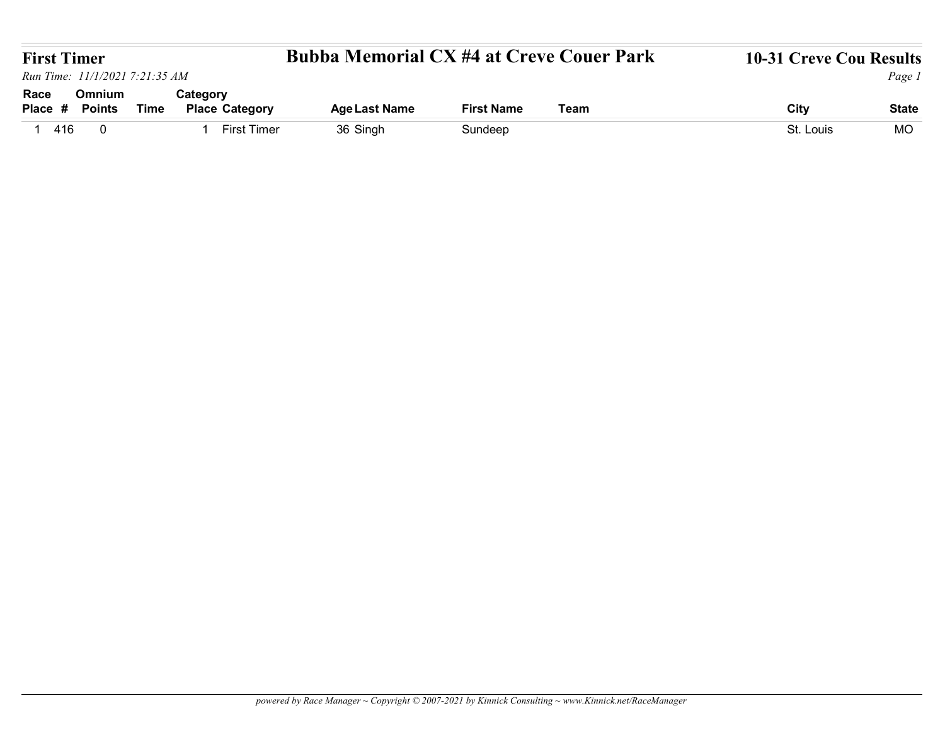| <b>First Timer</b>                               |             |                                   | <b>Bubba Memorial CX #4 at Creve Couer Park</b> |                   |      | 10-31 Creve Cou Results |                                     |
|--------------------------------------------------|-------------|-----------------------------------|-------------------------------------------------|-------------------|------|-------------------------|-------------------------------------|
| Run Time: 11/1/2021 7:21:35 AM                   |             |                                   |                                                 |                   |      |                         |                                     |
| Omnium<br>Race<br>Place #<br><b>Points</b>       | <b>Time</b> | Category<br><b>Place Category</b> | <b>Age Last Name</b>                            | <b>First Name</b> | Team | <b>City</b>             |                                     |
| 416<br>$\overline{\mathbf{0}}$<br>$\overline{1}$ |             | 1 First Timer                     | 36 Singh                                        | Sundeep           |      | St. Louis               | Page 1<br><b>State</b><br><b>MO</b> |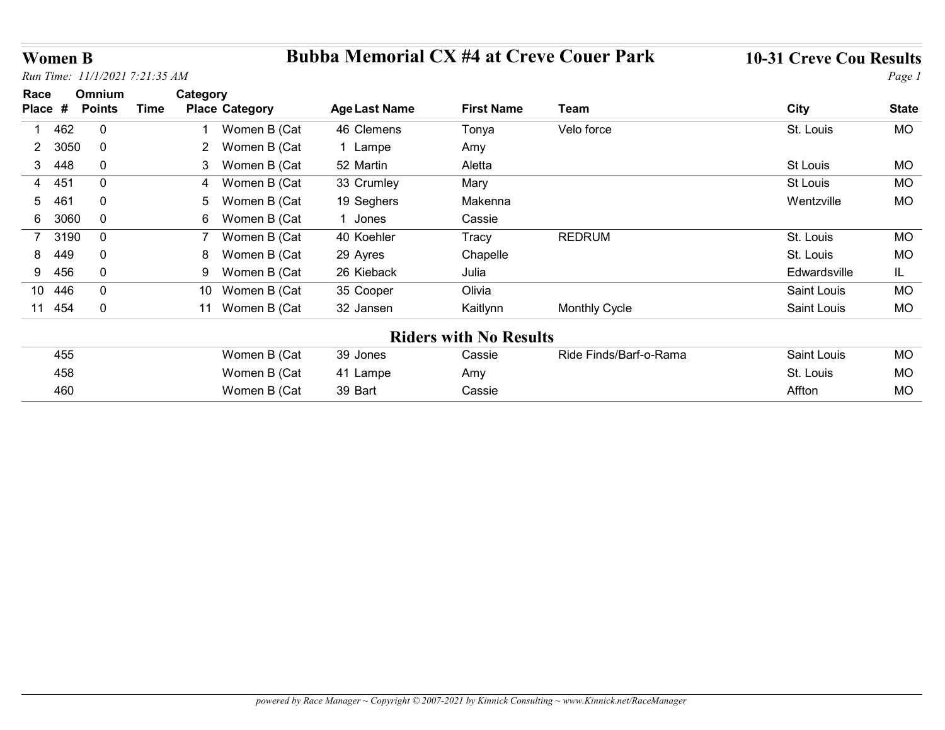# Women B Bubba Memorial CX #4 at Creve Couer Park 10-31 Creve Cou Results

| <b>Women B</b> |                                |                                      |                                                 |                               |                        |                                |              |
|----------------|--------------------------------|--------------------------------------|-------------------------------------------------|-------------------------------|------------------------|--------------------------------|--------------|
|                |                                |                                      |                                                 |                               |                        |                                |              |
|                |                                |                                      |                                                 |                               |                        |                                |              |
|                |                                |                                      |                                                 |                               |                        |                                |              |
|                |                                |                                      |                                                 |                               |                        |                                |              |
|                |                                |                                      |                                                 |                               |                        |                                |              |
|                |                                |                                      |                                                 |                               |                        |                                |              |
|                |                                |                                      | <b>Bubba Memorial CX #4 at Creve Couer Park</b> |                               |                        | <b>10-31 Creve Cou Results</b> |              |
|                | Run Time: 11/1/2021 7:21:35 AM |                                      |                                                 |                               |                        |                                | Page 1       |
| Race           | <b>Omnium</b>                  | Category                             |                                                 |                               |                        |                                |              |
| Place #        | <b>Points</b>                  | <b>Time</b><br><b>Place Category</b> | <b>Age Last Name</b>                            | <b>First Name</b>             | Team                   | <b>City</b>                    | <b>State</b> |
| 462<br>-1      | $\overline{0}$                 | Women B (Cat                         | 46 Clemens                                      | Tonya                         | Velo force             | St. Louis                      | MO           |
| 2 3050         | $\overline{0}$                 | 2 Women B (Cat                       | 1 Lampe                                         | Amy                           |                        |                                |              |
| 3 448          | $\overline{0}$                 | 3 Women B (Cat                       | 52 Martin                                       | Aletta                        |                        | St Louis                       | MO           |
| 4 451          | $\overline{0}$                 | Women B (Cat<br>$\overline{a}$       | 33 Crumley                                      | Mary                          |                        | St Louis                       | <b>MO</b>    |
| 461<br>5       | $\overline{0}$                 | $5^{\circ}$<br>Women B (Cat          | 19 Seghers                                      | Makenna                       |                        | Wentzville                     | MO           |
| 6 3060         | $\overline{0}$                 | 6 Women B (Cat                       | 1 Jones                                         | Cassie                        |                        |                                |              |
| 7 3190         | $\overline{0}$                 | $\overline{7}$<br>Women B (Cat       | 40 Koehler                                      | Tracy                         | <b>REDRUM</b>          | St. Louis                      | MO           |
| 449<br>8       | $\pmb{0}$                      | 8 Women B (Cat                       | 29 Ayres                                        | Chapelle                      |                        | St. Louis                      | MO           |
| 9 456          | $\overline{0}$                 | Women B (Cat<br>9                    | 26 Kieback                                      | Julia                         |                        | Edwardsville                   | IL           |
| 10 446         | $\mathbf 0$                    | 10 Women B (Cat                      | 35 Cooper                                       | Olivia                        |                        | Saint Louis                    | <b>MO</b>    |
| 11 454         | $\overline{0}$                 | 11 Women B (Cat                      | 32 Jansen                                       | Kaitlynn                      | Monthly Cycle          | Saint Louis                    | MO           |
|                |                                |                                      |                                                 | <b>Riders with No Results</b> |                        |                                |              |
|                |                                | Women B (Cat                         | 39 Jones                                        | Cassie                        | Ride Finds/Barf-o-Rama | Saint Louis                    | MO           |
| 455            |                                | Women B (Cat                         | 41 Lampe                                        | Amy                           |                        | St. Louis                      | MO           |
| 458            |                                | Women B (Cat                         | 39 Bart                                         | Cassie                        |                        | Affton                         | MO           |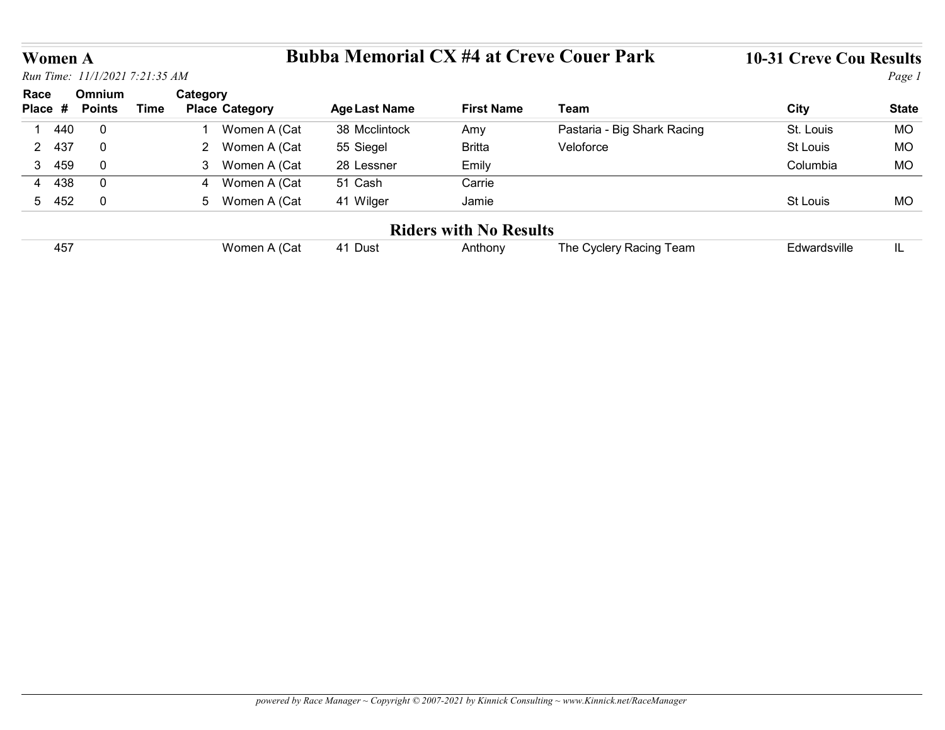# Women A Bubba Memorial CX #4 at Creve Couer Park 10-31 Creve Cou Results

| <b>Women A</b>        |                         |                                |                |                       | <b>Bubba Memorial CX #4 at Creve Couer Park</b> |                                          |                             | <b>10-31 Creve Cou Results</b> |              |
|-----------------------|-------------------------|--------------------------------|----------------|-----------------------|-------------------------------------------------|------------------------------------------|-----------------------------|--------------------------------|--------------|
|                       |                         | Run Time: 11/1/2021 7:21:35 AM |                |                       |                                                 |                                          |                             |                                | Page 1       |
| Race<br>Place #       | Omnium<br><b>Points</b> | <b>Time</b>                    | Category       | <b>Place Category</b> | <b>Age Last Name</b>                            | <b>First Name</b>                        | Team                        | <b>City</b>                    | <b>State</b> |
| 1 440                 | $\overline{0}$          |                                | $\overline{1}$ | Women A (Cat          | 38 Mcclintock                                   | Amy                                      | Pastaria - Big Shark Racing | St. Louis                      | <b>MO</b>    |
| 437<br>$\overline{2}$ | $\mathbf 0$             |                                |                | 2 Women A (Cat        | 55 Siegel                                       | <b>Britta</b>                            | Veloforce                   | St Louis                       | MO           |
| 3 459                 | $\mathbf 0$             |                                |                | 3 Women A (Cat        | 28 Lessner                                      | Emily                                    |                             | Columbia                       | MO           |
| 4 438                 | $\overline{0}$          |                                | 4              | Women A (Cat          | 51 Cash                                         | Carrie                                   |                             |                                |              |
| 5 452                 | $\overline{0}$          |                                |                | 5 Women A (Cat        | 41 Wilger                                       | Jamie                                    |                             | St Louis                       | MO           |
|                       |                         |                                |                |                       |                                                 |                                          |                             |                                |              |
| 457                   |                         |                                |                | Women A (Cat          | 41 Dust                                         | <b>Riders with No Results</b><br>Anthony | The Cyclery Racing Team     | Edwardsville                   | IL           |

| .<br>45, | Cat) ،<br>Nomen <sub>≀</sub> | Dus.<br>4 | nthony، | ∣eam<br>∣he.<br>∶vclerv Racind<br>wuer | :dwardsville |  |
|----------|------------------------------|-----------|---------|----------------------------------------|--------------|--|
|----------|------------------------------|-----------|---------|----------------------------------------|--------------|--|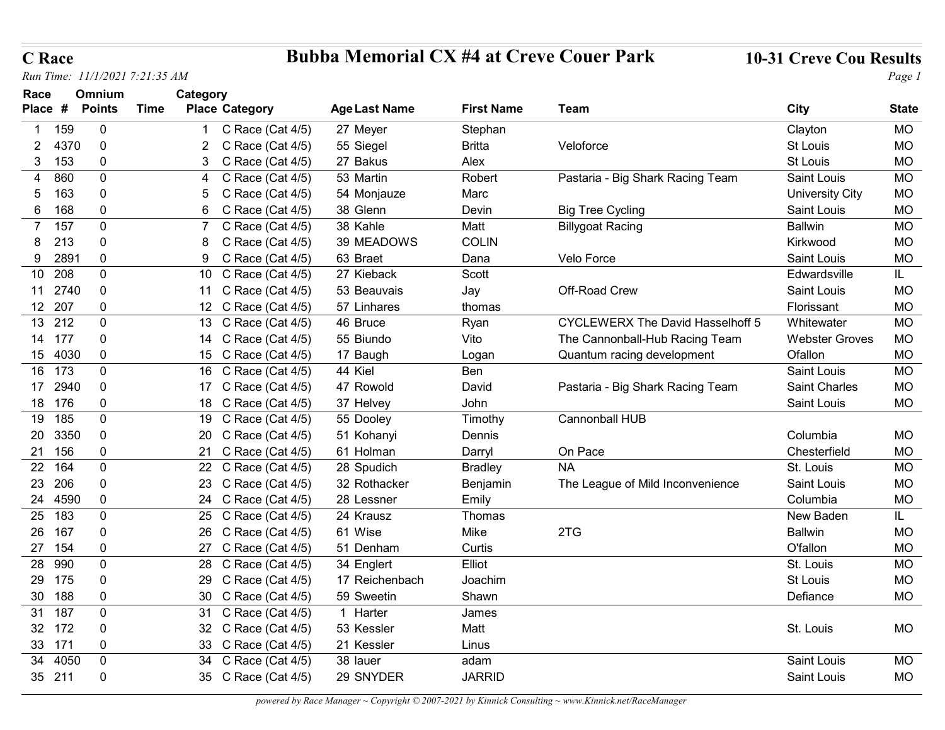## C Race Bubba Memorial CX #4 at Creve Couer Park 10-31 Creve Cou Results

| <b>C</b> Race                  |                         |             |                                            | <b>Bubba Memorial CX #4 at Creve Couer Park</b> |                       |                                         | <b>10-31 Creve Cou Results</b>      |                        |
|--------------------------------|-------------------------|-------------|--------------------------------------------|-------------------------------------------------|-----------------------|-----------------------------------------|-------------------------------------|------------------------|
| Run Time: 11/1/2021 7:21:35 AM |                         |             |                                            |                                                 |                       |                                         |                                     | Page 1                 |
| Race<br>Place #                | Omnium<br><b>Points</b> | <b>Time</b> | Category<br><b>Place Category</b>          | <b>Age Last Name</b>                            | <b>First Name</b>     | Team                                    | <b>City</b>                         | <b>State</b>           |
| 159<br>-1                      | $\overline{0}$          |             | C Race (Cat 4/5)                           | 27 Meyer                                        | Stephan               |                                         | Clayton                             | MO                     |
| 4370<br>$2^{\circ}$            | $\Omega$                |             | C Race (Cat 4/5)                           | 55 Siegel                                       | <b>Britta</b>         | Veloforce                               | St Louis                            | MO                     |
| 3 153                          | $\Omega$                |             | 3 C Race (Cat 4/5)                         | 27 Bakus                                        | Alex                  |                                         | St Louis                            | <b>MO</b>              |
| 860<br>4                       | $\Omega$                |             | C Race (Cat $4/5$ )<br>4                   | 53 Martin                                       | Robert                | Pastaria - Big Shark Racing Team        | Saint Louis                         | MO                     |
| 163<br>5                       | $\Omega$                |             | Race (Cat 4/5)<br>5 C                      | 54 Monjauze                                     | Marc                  |                                         | <b>University City</b>              | <b>MO</b>              |
| 168<br>6                       | $\Omega$                |             | 6 C<br>Race (Cat 4/5)                      | 38 Glenn                                        | Devin                 | <b>Big Tree Cycling</b>                 | Saint Louis                         | MO                     |
| 7 157                          | $\Omega$                |             | C Race (Cat $4/5$ )                        | 38 Kahle                                        | Matt                  | <b>Billygoat Racing</b>                 | <b>Ballwin</b>                      | <b>MO</b>              |
| 8 213                          | $\Omega$                |             | 8 C Race (Cat 4/5)                         | 39 MEADOWS                                      | <b>COLIN</b>          |                                         | Kirkwood                            | MO                     |
| 9 289'                         | $\Omega$                |             | 9 C Race (Cat 4/5)                         | 63 Braet                                        | Dana                  | Velo Force                              | Saint Louis                         | <b>MO</b>              |
| 10 208                         | $\Omega$                |             | 10 C Race (Cat 4/5)                        | 27 Kieback                                      | Scott                 |                                         | Edwardsville                        | IL.                    |
| 11 2740                        | $\Omega$                |             | 11 C Race (Cat 4/5)                        | 53 Beauvais                                     | Jay                   | Off-Road Crew                           | Saint Louis                         | <b>MO</b>              |
| 12 207                         | 0                       |             | 12 C Race (Cat 4/5)                        | 57 Linhares                                     | thomas                |                                         | Florissant                          | <b>MO</b>              |
| 13 212                         | $\mathbf 0$             |             | 13 C Race (Cat 4/5)                        | 46 Bruce                                        | Ryan                  | <b>CYCLEWERX The David Hasselhoff 5</b> | Whitewater                          | <b>MO</b>              |
| 14 177                         | 0                       |             | 14 C Race (Cat 4/5)                        | 55 Biundo                                       | Vito                  | The Cannonball-Hub Racing Team          | <b>Webster Groves</b>               | <b>MO</b>              |
| 15 4030                        | 0                       |             | 15 C Race (Cat 4/5)                        | 17 Baugh                                        | Logan                 | Quantum racing development              | Ofallon                             | <b>MO</b>              |
| 16 173<br>17 2940              | $\mathbf 0$<br>0        |             | 16 C Race (Cat 4/5)<br>17 C Race (Cat 4/5) | 44 Kiel<br>47 Rowold                            | Ben<br>David          | Pastaria - Big Shark Racing Team        | Saint Louis<br><b>Saint Charles</b> | <b>MO</b><br><b>MO</b> |
| 18 176                         | $\Omega$                |             | 18 C Race (Cat 4/5)                        | 37 Helvey                                       | John                  |                                         | Saint Louis                         | MO                     |
| 19 185                         | $\mathbf 0$             |             | 19 C Race (Cat 4/5)                        | 55 Dooley                                       | Timothy               | Cannonball HUB                          |                                     |                        |
| 20 3350                        | $\Omega$                |             | 20 C Race (Cat 4/5)                        | 51 Kohanyi                                      | Dennis                |                                         | Columbia                            | MO                     |
| 21 156                         | 0                       |             | 21 C Race (Cat 4/5)                        | 61 Holman                                       | Darryl                | On Pace                                 | Chesterfield                        | <b>MO</b>              |
| 22 164                         | $\mathbf 0$             |             | 22 C Race (Cat 4/5)                        | 28 Spudich                                      | <b>Bradley</b>        | <b>NA</b>                               | St. Louis                           | MO                     |
| 23 206                         | 0                       |             | 23 C Race (Cat 4/5)                        | 32 Rothacker                                    | Benjamin              | The League of Mild Inconvenience        | Saint Louis                         | <b>MO</b>              |
| 24 4590                        | 0                       |             | 24 C Race (Cat 4/5)                        | 28 Lessner                                      | Emily                 |                                         | Columbia                            | <b>MO</b>              |
| 25<br>183                      | $\mathbf 0$             |             | 25 C Race (Cat 4/5)                        | 24 Krausz                                       | Thomas                |                                         | New Baden                           | IL.                    |
| 167<br>26                      | 0                       |             | 26 C Race (Cat 4/5)                        | 61 Wise                                         | Mike                  | 2TG                                     | <b>Ballwin</b>                      | <b>MO</b>              |
| 27 154                         | 0                       |             | 27 C Race (Cat 4/5)                        | 51 Denham                                       | Curtis                |                                         | O'fallon                            | <b>MO</b>              |
| 28 990                         | $\Omega$                |             | 28 C Race (Cat 4/5)                        | 34 Englert                                      | Elliot                |                                         | St. Louis                           | <b>MO</b>              |
| 175<br>29                      | 0                       |             | 29 C Race (Cat 4/5)                        | 17 Reichenbach                                  | Joachim               |                                         | St Louis                            | <b>MO</b>              |
| 188<br>30 <sub>o</sub>         | $\mathbf 0$             |             | 30 C Race (Cat 4/5)                        | 59 Sweetin                                      | Shawn                 |                                         | Defiance                            | MO                     |
| 31 187                         | 0                       |             | 31 C Race (Cat 4/5)                        | 1 Harter                                        | James                 |                                         |                                     |                        |
| 32 172                         | 0                       |             | 32 C Race (Cat 4/5)                        | 53 Kessler                                      | Matt                  |                                         | St. Louis                           | MO                     |
| 33 171                         | $\Omega$                |             | 33 C Race (Cat 4/5)                        | 21 Kessler                                      | Linus                 |                                         |                                     |                        |
|                                | $\mathbf 0$             |             | 34 C Race (Cat 4/5)                        | 38 lauer<br>29 SNYDER                           | adam<br><b>JARRID</b> |                                         | Saint Louis<br>Saint Louis          | MO<br>MO               |
| 34 4050<br>35 211              | $\Omega$                |             | 35 C Race (Cat 4/5)                        |                                                 |                       |                                         |                                     |                        |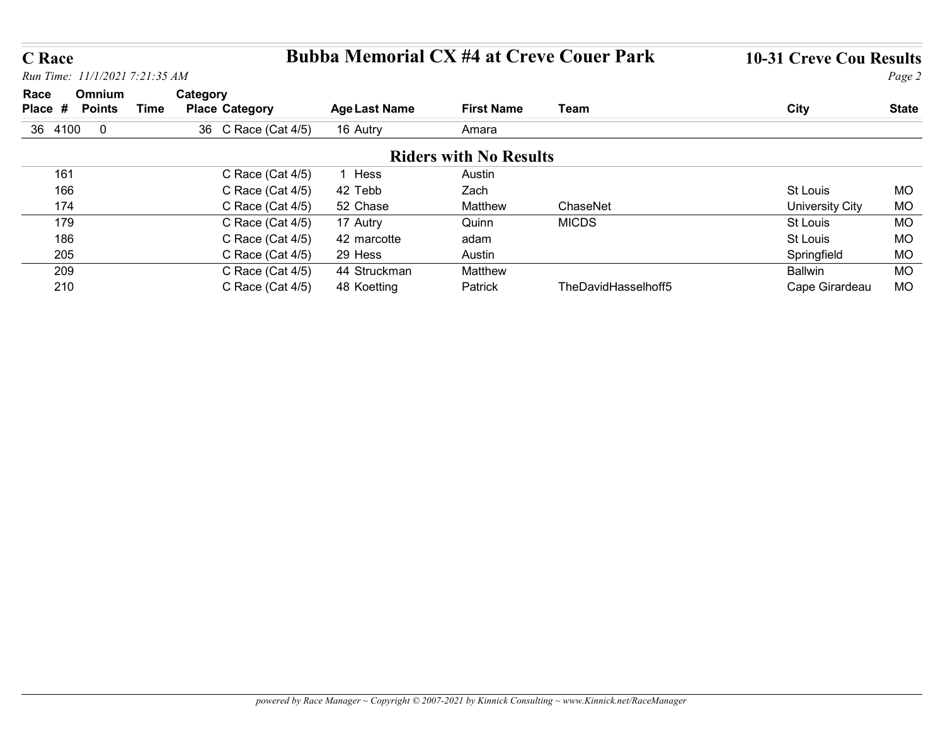# C Race Bubba Memorial CX #4 at Creve Couer Park 10-31 Creve Cou Results

| <b>C</b> Race   |                                                 |                                      |                      |                               |                     |                                  |                        |
|-----------------|-------------------------------------------------|--------------------------------------|----------------------|-------------------------------|---------------------|----------------------------------|------------------------|
|                 | <b>Bubba Memorial CX #4 at Creve Couer Park</b> |                                      |                      |                               |                     |                                  |                        |
|                 |                                                 |                                      |                      |                               |                     | <b>10-31 Creve Cou Results</b>   |                        |
|                 | Run Time: 11/1/2021 7:21:35 AM                  |                                      |                      |                               |                     |                                  | Page 2                 |
| Race<br>Place # | Omnium<br><b>Points</b><br><b>Time</b>          | Category<br><b>Place Category</b>    | <b>Age Last Name</b> | <b>First Name</b>             | Team                | <b>City</b>                      | <b>State</b>           |
| 36 4100 0       |                                                 | 36 C Race (Cat 4/5)                  | 16 Autry             | Amara                         |                     |                                  |                        |
|                 |                                                 |                                      |                      | <b>Riders with No Results</b> |                     |                                  |                        |
| 161             |                                                 | C Race (Cat 4/5)                     | 1 Hess               | Austin                        |                     |                                  |                        |
| 166             |                                                 | C Race (Cat 4/5)                     | 42 Tebb              | Zach                          |                     | St Louis                         | <b>MO</b>              |
| 174             |                                                 | C Race (Cat 4/5)                     | 52 Chase             | Matthew                       | ChaseNet            | <b>University City</b>           | <b>MO</b>              |
| 179             |                                                 | C Race (Cat 4/5)                     | 17 Autry             | Quinn                         | <b>MICDS</b>        | St Louis                         | <b>MO</b>              |
| 186             |                                                 | C Race (Cat 4/5)                     | 42 marcotte          | adam                          |                     | St Louis                         | <b>MO</b>              |
| 205             |                                                 | C Race (Cat 4/5)                     | 29 Hess              | Austin                        |                     | Springfield                      | <b>MO</b>              |
| 209<br>210      |                                                 | C Race (Cat 4/5)<br>C Race (Cat 4/5) | 44 Struckman         | Matthew                       | TheDavidHasselhoff5 | <b>Ballwin</b><br>Cape Girardeau | <b>MO</b><br><b>MO</b> |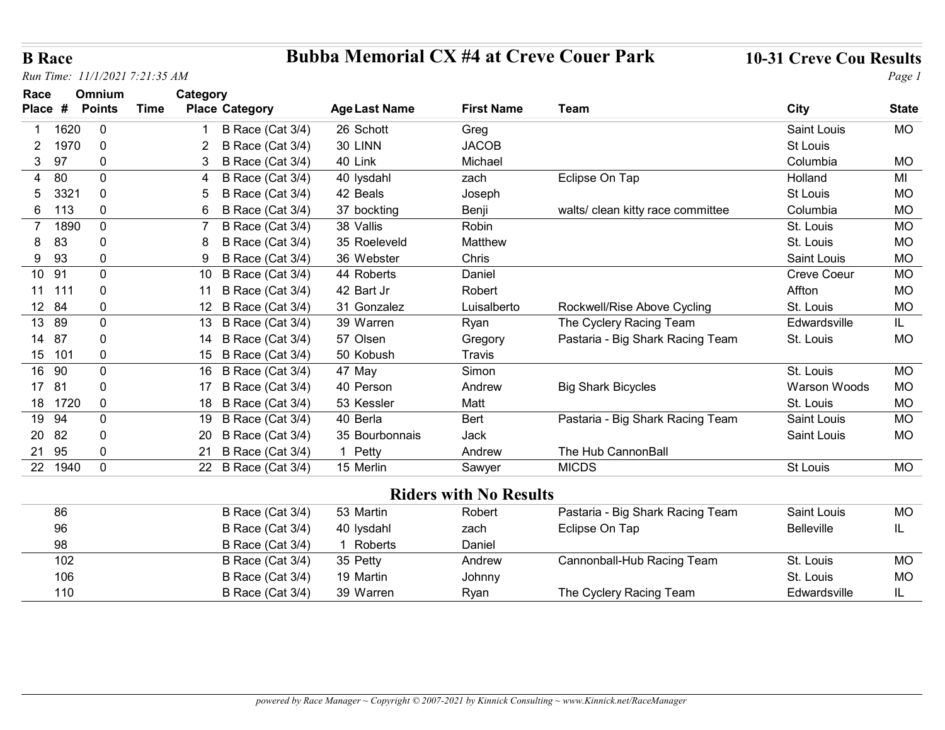# B Race Bubba Memorial CX #4 at Creve Couer Park 10-31 Creve Cou Results

| <b>B</b> Race          | Run Time: 11/1/2021 7:21:35 AM |      |                                            | <b>Bubba Memorial CX #4 at Creve Couer Park</b> |                               |                                   | <b>10-31 Creve Cou Results</b> | Page 1       |
|------------------------|--------------------------------|------|--------------------------------------------|-------------------------------------------------|-------------------------------|-----------------------------------|--------------------------------|--------------|
| Race                   | Omnium                         |      | Category                                   |                                                 |                               |                                   |                                |              |
| Place #                | <b>Points</b>                  | Time | <b>Place Category</b>                      | <b>Age Last Name</b>                            | <b>First Name</b>             | <b>Team</b>                       | <b>City</b>                    | <b>State</b> |
| 1620                   | $\mathbf{0}$                   |      | B Race (Cat 3/4)                           | 26 Schott                                       | Greg                          |                                   | Saint Louis                    | <b>MO</b>    |
| 1970<br>2              | $\Omega$                       |      | B Race (Cat 3/4)                           | 30 LINN                                         | <b>JACOB</b>                  |                                   | St Louis                       |              |
| 97<br>3 <sup>1</sup>   | $\mathbf{0}$                   |      | B Race (Cat 3/4)                           | 40 Link                                         | Michael                       |                                   | Columbia                       | MO           |
| 80<br>4                | $\mathbf{0}$                   |      | B Race (Cat 3/4)                           | 40 lysdahl                                      | zach                          | Eclipse On Tap                    | Holland                        | MI           |
| 332 <sup>2</sup><br>5  | $\mathbf{0}$                   |      | B Race (Cat 3/4)                           | 42 Beals                                        | Joseph                        |                                   | St Louis                       | <b>MO</b>    |
| 6<br>113               | $\mathbf 0$                    |      | B<br>Race (Cat 3/4)<br>6                   | 37 bockting                                     | Benji                         | walts/ clean kitty race committee | Columbia                       | <b>MO</b>    |
| 1890<br>$\overline{7}$ | $\mathbf{0}$                   |      | B Race (Cat 3/4)                           | 38 Vallis                                       | Robin                         |                                   | St. Louis                      | <b>MO</b>    |
| 83<br>8                | $\mathbf 0$                    |      | B Race (Cat 3/4)<br>8                      | 35 Roeleveld                                    | Matthew                       |                                   | St. Louis                      | MO           |
| 93<br>9                | $\mathbf 0$                    |      | B Race (Cat 3/4)<br>9                      | 36 Webster                                      | Chris                         |                                   | Saint Louis                    | <b>MO</b>    |
| 10 91                  | $\mathbf{0}$                   |      | B Race (Cat 3/4)<br>10                     | 44 Roberts                                      | Daniel                        |                                   | <b>Creve Coeur</b>             | <b>MO</b>    |
| 11 111                 | $\mathbf 0$                    |      | 11 B Race (Cat 3/4)                        | 42 Bart Jr                                      | Robert                        |                                   | Affton                         | <b>MO</b>    |
| 12 84                  | $\mathbf 0$                    |      | 12 B Race (Cat 3/4)                        | 31 Gonzalez                                     | Luisalberto                   | Rockwell/Rise Above Cycling       | St. Louis                      | <b>MO</b>    |
| 13 89                  | $\Omega$                       |      | 13 B Race (Cat 3/4)                        | 39 Warren                                       | Ryan                          | The Cyclery Racing Team           | Edwardsville                   | IL.          |
| 14 87<br>15 101        | 0<br>$\mathbf 0$               |      | 14 B Race (Cat 3/4)<br>15 B Race (Cat 3/4) | 57 Olsen<br>50 Kobush                           | Gregory<br>Travis             | Pastaria - Big Shark Racing Team  | St. Louis                      | <b>MO</b>    |
| 16 90                  | $\mathbf 0$                    |      | 16 B Race (Cat 3/4)                        | 47 May                                          | Simon                         |                                   | St. Louis                      | <b>MO</b>    |
| 17 81                  | $\mathbf 0$                    |      | 17 B Race (Cat 3/4)                        | 40 Person                                       | Andrew                        | <b>Big Shark Bicycles</b>         | Warson Woods                   | MO           |
| 18 1720                | 0                              |      | 18 B Race (Cat 3/4)                        | 53 Kessler                                      | Matt                          |                                   | St. Louis                      | MO           |
| 19 94                  | 0                              |      | 19 B Race (Cat 3/4)                        | 40 Berla                                        | Bert                          | Pastaria - Big Shark Racing Team  | Saint Louis                    | MO           |
| 20 82                  |                                |      | 20 B Race (Cat 3/4)                        | 35 Bourbonnais                                  | Jack                          |                                   | Saint Louis                    | MO           |
| 21 95                  | $\mathbf 0$                    |      | 21 B Race (Cat 3/4)                        | 1 Petty                                         | Andrew                        | The Hub CannonBall                |                                |              |
| 22 1940                | $\mathbf 0$                    |      | 22 B Race (Cat 3/4)                        | 15 Merlin                                       | Sawyer                        | <b>MICDS</b>                      | St Louis                       | MO           |
|                        |                                |      |                                            |                                                 | <b>Riders with No Results</b> |                                   |                                |              |
| 86                     |                                |      | B Race (Cat 3/4)                           | 53 Martin                                       | Robert                        | Pastaria - Big Shark Racing Team  | Saint Louis                    | <b>MO</b>    |
| 96                     |                                |      | B Race (Cat 3/4)                           | 40 lysdahl                                      | zach                          | Eclipse On Tap                    | Belleville                     | IL.          |
| 98                     |                                |      | B Race (Cat 3/4)                           | 1 Roberts                                       | Daniel                        |                                   |                                |              |
| 102                    |                                |      | B Race (Cat 3/4)                           | 35 Petty                                        | Andrew                        | Cannonball-Hub Racing Team        | St. Louis                      | MO           |
| 106                    |                                |      | B Race (Cat 3/4)                           | 19 Martin                                       | Johnny                        |                                   | St. Louis                      | MO           |
| 110                    |                                |      | B Race (Cat 3/4)                           | 39 Warren                                       | Ryan                          | The Cyclery Racing Team           | Edwardsville                   | IL           |